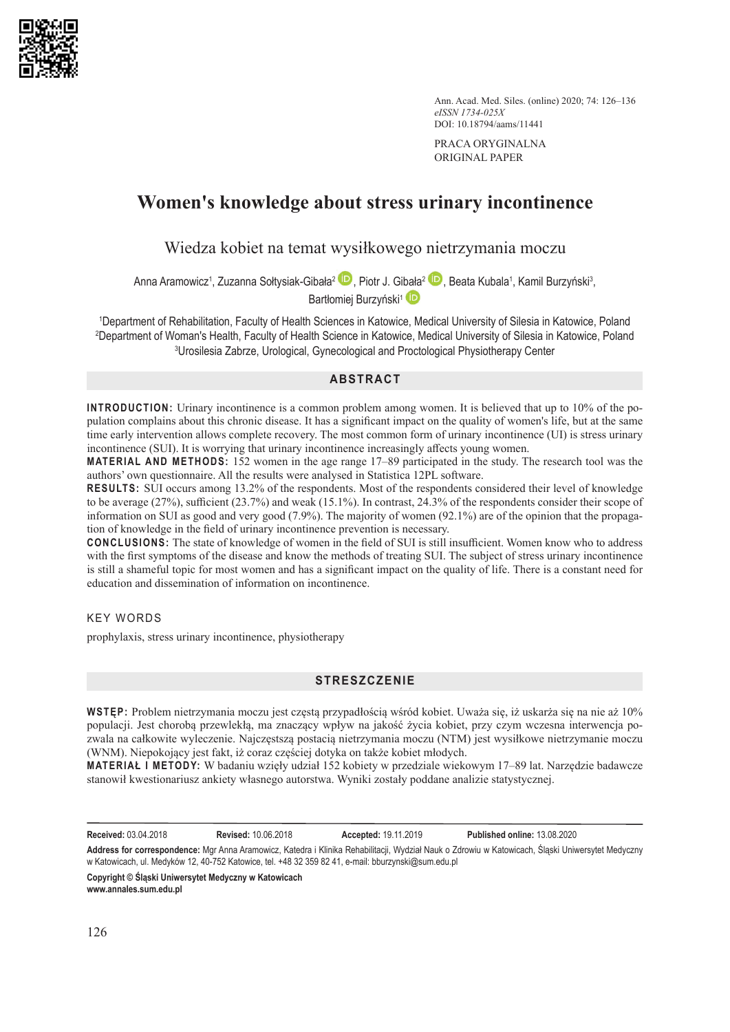

Ann. Acad. Med. Siles. (online) 2020; 74: 126–136 *eISSN 1734-025X* DOI: 10.18794/aams/11441

PRACA ORYGINALNA ORIGINAL PAPER

# **Women's knowledge about stress urinary incontinence**

Wiedza kobiet na temat wysiłkowego nietrzymania moczu

Anna Aramowicz<sup>1</sup>[,](https://orcid.org/0000-0001-8525-9123) Zuzanna Sołtysiak-G[ibała](https://orcid.org/0000-0001-5395-907X)<sup>2</sup>[,](https://orcid.org/0000-0002-7217-147X) Piotr J. Gibała<sup>2, ar</sup>, Beata Kubala<sup>1</sup>, Kamil Burzyński<sup>3</sup>, Bartłomiej Burzyński<sup>1</sup>

1 Department of Rehabilitation, Faculty of Health Sciences in Katowice, Medical University of Silesia in Katowice, Poland 2 Department of Woman's Health, Faculty of Health Science in Katowice, Medical University of Silesia in Katowice, Poland 3 Urosilesia Zabrze, Urological, Gynecological and Proctological Physiotherapy Center

## **ABSTRACT**

**INTRODUCTION:** Urinary incontinence is a common problem among women. It is believed that up to 10% of the population complains about this chronic disease. It has a significant impact on the quality of women's life, but at the same time early intervention allows complete recovery. The most common form of urinary incontinence (UI) is stress urinary incontinence (SUI). It is worrying that urinary incontinence increasingly affects young women.

**MATERIAL AND METHODS:** 152 women in the age range 17–89 participated in the study. The research tool was the authors' own questionnaire. All the results were analysed in Statistica 12PL software.

**RESULTS:** SUI occurs among 13.2% of the respondents. Most of the respondents considered their level of knowledge to be average (27%), sufficient (23.7%) and weak (15.1%). In contrast, 24.3% of the respondents consider their scope of information on SUI as good and very good (7.9%). The majority of women (92.1%) are of the opinion that the propagation of knowledge in the field of urinary incontinence prevention is necessary.

**CONCLUSIONS:** The state of knowledge of women in the field of SUI is still insufficient. Women know who to address with the first symptoms of the disease and know the methods of treating SUI. The subject of stress urinary incontinence is still a shameful topic for most women and has a significant impact on the quality of life. There is a constant need for education and dissemination of information on incontinence.

KEY WORDS

prophylaxis, stress urinary incontinence, physiotherapy

## **STRESZCZENIE**

**WSTĘP:** Problem nietrzymania moczu jest częstą przypadłością wśród kobiet. Uważa się, iż uskarża się na nie aż 10% populacji. Jest chorobą przewlekłą, ma znaczący wpływ na jakość życia kobiet, przy czym wczesna interwencja pozwala na całkowite wyleczenie. Najczęstszą postacią nietrzymania moczu (NTM) jest wysiłkowe nietrzymanie moczu (WNM). Niepokojący jest fakt, iż coraz częściej dotyka on także kobiet młodych.

**MATERIAŁ I METODY:** W badaniu wzięły udział 152 kobiety w przedziale wiekowym 17–89 lat. Narzędzie badawcze stanowił kwestionariusz ankiety własnego autorstwa. Wyniki zostały poddane analizie statystycznej.

**Received:** 03.04.2018 **Revised:** 10.06.2018 **Accepted:** 19.11.2019 **Published online:** 13.08.2020

**Address for correspondence:** Mgr Anna Aramowicz, Katedra i Klinika Rehabilitacji, Wydział Nauk o Zdrowiu w Katowicach, Śląski Uniwersytet Medyczny w Katowicach, ul. Medyków 12, 40-752 Katowice, tel. +48 32 359 82 41, e-mail: bburzynski@sum.edu.pl

**Copyright © Śląski Uniwersytet Medyczny w Katowicach www.annales.sum.edu.pl**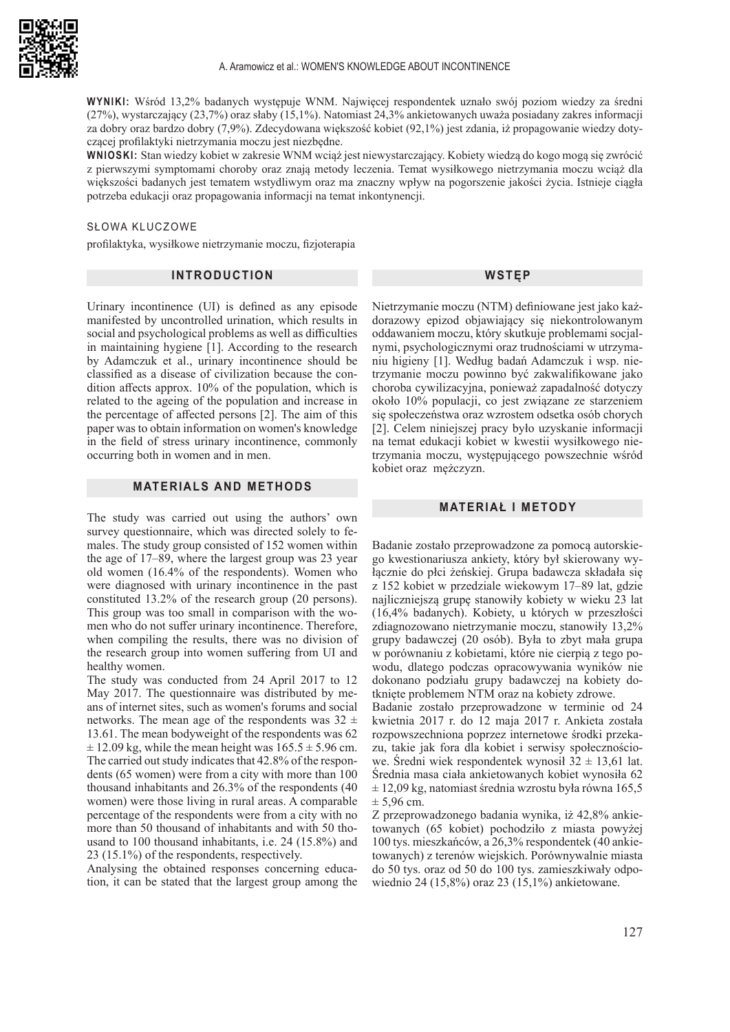

**WYNIKI:** Wśród 13,2% badanych występuje WNM. Najwięcej respondentek uznało swój poziom wiedzy za średni (27%), wystarczający (23,7%) oraz słaby (15,1%). Natomiast 24,3% ankietowanych uważa posiadany zakres informacji za dobry oraz bardzo dobry (7,9%). Zdecydowana większość kobiet (92,1%) jest zdania, iż propagowanie wiedzy dotyczącej profilaktyki nietrzymania moczu jest niezbędne.

**WNIOSKI:** Stan wiedzy kobiet w zakresie WNM wciąż jest niewystarczający. Kobiety wiedzą do kogo mogą się zwrócić z pierwszymi symptomami choroby oraz znają metody leczenia. Temat wysiłkowego nietrzymania moczu wciąż dla większości badanych jest tematem wstydliwym oraz ma znaczny wpływ na pogorszenie jakości życia. Istnieje ciągła potrzeba edukacji oraz propagowania informacji na temat inkontynencji.

#### SŁOWA KLUCZOWE

profilaktyka, wysiłkowe nietrzymanie moczu, fizjoterapia

## **INTRODUCTION**

Urinary incontinence (UI) is defined as any episode manifested by uncontrolled urination, which results in social and psychological problems as well as difficulties in maintaining hygiene [1]. According to the research by Adamczuk et al., urinary incontinence should be classified as a disease of civilization because the condition affects approx. 10% of the population, which is related to the ageing of the population and increase in the percentage of affected persons [2]. The aim of this paper was to obtain information on women's knowledge in the field of stress urinary incontinence, commonly occurring both in women and in men.

### **MATERIALS AND METHODS**

The study was carried out using the authors' own survey questionnaire, which was directed solely to females. The study group consisted of 152 women within the age of 17–89, where the largest group was 23 year old women (16.4% of the respondents). Women who were diagnosed with urinary incontinence in the past constituted 13.2% of the research group (20 persons). This group was too small in comparison with the women who do not suffer urinary incontinence. Therefore, when compiling the results, there was no division of the research group into women suffering from UI and healthy women.

The study was conducted from 24 April 2017 to 12 May 2017. The questionnaire was distributed by means of internet sites, such as women's forums and social networks. The mean age of the respondents was  $32 \pm$ 13.61. The mean bodyweight of the respondents was 62  $\pm$  12.09 kg, while the mean height was  $165.5 \pm 5.96$  cm. The carried out study indicates that 42.8% of the respondents (65 women) were from a city with more than 100 thousand inhabitants and 26.3% of the respondents (40 women) were those living in rural areas. A comparable percentage of the respondents were from a city with no more than 50 thousand of inhabitants and with 50 thousand to 100 thousand inhabitants, i.e. 24 (15.8%) and 23 (15.1%) of the respondents, respectively.

Analysing the obtained responses concerning education, it can be stated that the largest group among the Nietrzymanie moczu (NTM) definiowane jest jako każdorazowy epizod objawiający się niekontrolowanym oddawaniem moczu, który skutkuje problemami socjalnymi, psychologicznymi oraz trudnościami w utrzymaniu higieny [1]. Według badań Adamczuk i wsp. nietrzymanie moczu powinno być zakwalifikowane jako choroba cywilizacyjna, ponieważ zapadalność dotyczy około 10% populacji, co jest związane ze starzeniem się społeczeństwa oraz wzrostem odsetka osób chorych [2]. Celem niniejszej pracy było uzyskanie informacji na temat edukacji kobiet w kwestii wysiłkowego nietrzymania moczu, występującego powszechnie wśród kobiet oraz mężczyzn.

## **MATERIAŁ I METODY**

Badanie zostało przeprowadzone za pomocą autorskiego kwestionariusza ankiety, który był skierowany wyłącznie do płci żeńskiej. Grupa badawcza składała się z 152 kobiet w przedziale wiekowym 17–89 lat, gdzie najliczniejszą grupę stanowiły kobiety w wieku 23 lat (16,4% badanych). Kobiety, u których w przeszłości zdiagnozowano nietrzymanie moczu, stanowiły 13,2% grupy badawczej (20 osób). Była to zbyt mała grupa w porównaniu z kobietami, które nie cierpią z tego powodu, dlatego podczas opracowywania wyników nie dokonano podziału grupy badawczej na kobiety dotknięte problemem NTM oraz na kobiety zdrowe.

Badanie zostało przeprowadzone w terminie od 24 kwietnia 2017 r. do 12 maja 2017 r. Ankieta została rozpowszechniona poprzez internetowe środki przekazu, takie jak fora dla kobiet i serwisy społecznościowe. Średni wiek respondentek wynosił  $32 \pm 13,61$  lat. Średnia masa ciała ankietowanych kobiet wynosiła 62  $\pm$  12,09 kg, natomiast średnia wzrostu była równa 165,5  $± 5.96$  cm.

Z przeprowadzonego badania wynika, iż 42,8% ankietowanych (65 kobiet) pochodziło z miasta powyżej 100 tys. mieszkańców, a 26,3% respondentek (40 ankietowanych) z terenów wiejskich. Porównywalnie miasta do 50 tys. oraz od 50 do 100 tys. zamieszkiwały odpowiednio 24 (15,8%) oraz 23 (15,1%) ankietowane.

**WSTĘP**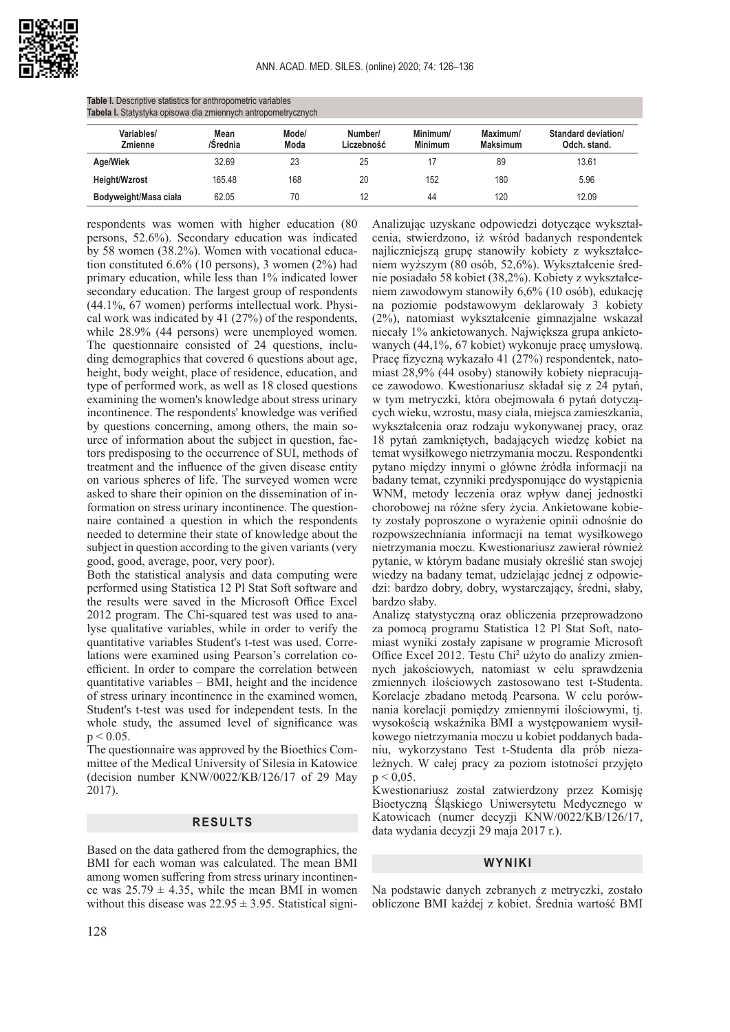

| Tabela I. Statystyka opisowa dla zmiennych antropometrycznych |                  |               |                       |                            |                             |                                     |
|---------------------------------------------------------------|------------------|---------------|-----------------------|----------------------------|-----------------------------|-------------------------------------|
| Variables/<br>Zmienne                                         | Mean<br>/Srednia | Mode/<br>Moda | Number/<br>Liczebność | Minimum/<br><b>Minimum</b> | Maximum/<br><b>Maksimum</b> | Standard deviation/<br>Odch. stand. |
| Age/Wiek                                                      | 32.69            | 23            | 25                    |                            | 89                          | 13.61                               |
| Height/Wzrost                                                 | 165.48           | 168           | 20                    | 152                        | 180                         | 5.96                                |
| Bodyweight/Masa ciała                                         | 62.05            | 70            | 12                    | 44                         | 120                         | 12.09                               |

**Table I.** Descriptive statistics for anthropometric variables

respondents was women with higher education (80 persons, 52.6%). Secondary education was indicated by 58 women (38.2%). Women with vocational education constituted 6.6% (10 persons), 3 women (2%) had primary education, while less than 1% indicated lower secondary education. The largest group of respondents (44.1%, 67 women) performs intellectual work. Physical work was indicated by 41 (27%) of the respondents, while 28.9% (44 persons) were unemployed women. The questionnaire consisted of 24 questions, including demographics that covered 6 questions about age, height, body weight, place of residence, education, and type of performed work, as well as 18 closed questions examining the women's knowledge about stress urinary incontinence. The respondents' knowledge was verified by questions concerning, among others, the main source of information about the subject in question, factors predisposing to the occurrence of SUI, methods of treatment and the influence of the given disease entity on various spheres of life. The surveyed women were asked to share their opinion on the dissemination of information on stress urinary incontinence. The questionnaire contained a question in which the respondents needed to determine their state of knowledge about the subject in question according to the given variants (very good, good, average, poor, very poor).

Both the statistical analysis and data computing were performed using Statistica 12 Pl Stat Soft software and the results were saved in the Microsoft Office Excel 2012 program. The Chi-squared test was used to analyse qualitative variables, while in order to verify the quantitative variables Student's t-test was used. Correlations were examined using Pearson's correlation coefficient. In order to compare the correlation between quantitative variables – BMI, height and the incidence of stress urinary incontinence in the examined women, Student's t-test was used for independent tests. In the whole study, the assumed level of significance was  $p < 0.05$ .

The questionnaire was approved by the Bioethics Committee of the Medical University of Silesia in Katowice (decision number KNW/0022/KB/126/17 of 29 May 2017).

#### **RESULTS**

Based on the data gathered from the demographics, the BMI for each woman was calculated. The mean BMI among women suffering from stress urinary incontinence was  $25.79 \pm 4.35$ , while the mean BMI in women without this disease was  $22.95 \pm 3.95$ . Statistical signi-

Analizując uzyskane odpowiedzi dotyczące wykształcenia, stwierdzono, iż wśród badanych respondentek najliczniejszą grupę stanowiły kobiety z wykształceniem wyższym (80 osób, 52,6%). Wykształcenie średnie posiadało 58 kobiet (38,2%). Kobiety z wykształceniem zawodowym stanowiły 6,6% (10 osób), edukację na poziomie podstawowym deklarowały 3 kobiety (2%), natomiast wykształcenie gimnazjalne wskazał niecały 1% ankietowanych. Największa grupa ankietowanych (44,1%, 67 kobiet) wykonuje pracę umysłową. Pracę fizyczną wykazało 41 (27%) respondentek, natomiast 28,9% (44 osoby) stanowiły kobiety niepracujące zawodowo. Kwestionariusz składał się z 24 pytań, w tym metryczki, która obejmowała 6 pytań dotyczących wieku, wzrostu, masy ciała, miejsca zamieszkania, wykształcenia oraz rodzaju wykonywanej pracy, oraz 18 pytań zamkniętych, badających wiedzę kobiet na temat wysiłkowego nietrzymania moczu. Respondentki pytano między innymi o główne źródła informacji na badany temat, czynniki predysponujące do wystąpienia WNM, metody leczenia oraz wpływ danej jednostki chorobowej na różne sfery życia. Ankietowane kobiety zostały poproszone o wyrażenie opinii odnośnie do rozpowszechniania informacji na temat wysiłkowego nietrzymania moczu. Kwestionariusz zawierał również pytanie, w którym badane musiały określić stan swojej wiedzy na badany temat, udzielając jednej z odpowiedzi: bardzo dobry, dobry, wystarczający, średni, słaby, bardzo słaby.

Analizę statystyczną oraz obliczenia przeprowadzono za pomocą programu Statistica 12 Pl Stat Soft, natomiast wyniki zostały zapisane w programie Microsoft Office Excel 2012. Testu Chi<sup>2</sup> użyto do analizy zmiennych jakościowych, natomiast w celu sprawdzenia zmiennych ilościowych zastosowano test t-Studenta. Korelacje zbadano metodą Pearsona. W celu porównania korelacji pomiędzy zmiennymi ilościowymi, tj. wysokością wskaźnika BMI a występowaniem wysiłkowego nietrzymania moczu u kobiet poddanych badaniu, wykorzystano Test t-Studenta dla prób niezależnych. W całej pracy za poziom istotności przyjęto  $p < 0.05$ .

Kwestionariusz został zatwierdzony przez Komisję Bioetyczną Śląskiego Uniwersytetu Medycznego w Katowicach (numer decyzji KNW/0022/KB/126/17, data wydania decyzji 29 maja 2017 r.).

#### **WYNIKI**

Na podstawie danych zebranych z metryczki, zostało obliczone BMI każdej z kobiet. Średnia wartość BMI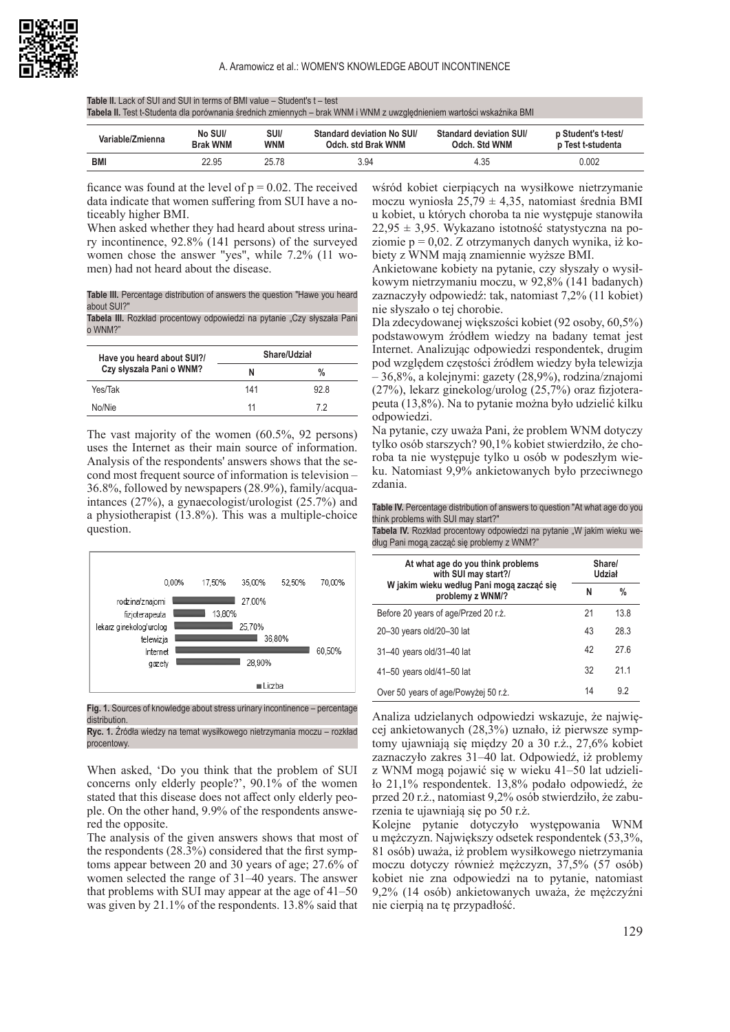**Table II.** Lack of SUI and SUI in terms of BMI value – Student's t – test **Tabela II.** Test t-Studenta dla porównania średnich zmiennych – brak WNM i WNM z uwzględnieniem wartości wskaźnika BMI

| Variable/Zmienna | No SUI/<br><b>Brak WNM</b> | SUI/<br><b>WNM</b> | Standard deviation No SUI/<br>Odch. std Brak WNM | Standard deviation SUI/<br>Odch. Std WNM | p Student's t-test/<br>p Test t-studenta |
|------------------|----------------------------|--------------------|--------------------------------------------------|------------------------------------------|------------------------------------------|
| <b>BMI</b>       | 22.95                      | 25.78              | 3.94                                             | 4.35                                     | 0.002                                    |

ficance was found at the level of  $p = 0.02$ . The received data indicate that women suffering from SUI have a noticeably higher BMI.

When asked whether they had heard about stress urinary incontinence, 92.8% (141 persons) of the surveyed women chose the answer "yes", while 7.2% (11 women) had not heard about the disease.

**Table III.** Percentage distribution of answers the question "Hawe you heard about SUI?"

Tabela III. Rozkład procentowy odpowiedzi na pytanie "Czy słyszała Pani o WNM?"

| Have you heard about SUI?/ |     | Share/Udział |
|----------------------------|-----|--------------|
| Czy słyszała Pani o WNM?   | Ν   | $\%$         |
| Yes/Tak                    | 141 | 928          |
| No/Nie                     | 11  | 72           |

The vast majority of the women (60.5%, 92 persons) uses the Internet as their main source of information. Analysis of the respondents' answers shows that the second most frequent source of information is television – 36.8%, followed by newspapers (28.9%), family/acquaintances (27%), a gynaecologist/urologist (25.7%) and a physiotherapist (13.8%). This was a multiple-choice question.



**Fig. 1.** Sources of knowledge about stress urinary incontinence – percentage distribution.

**Ryc. 1.** Źródła wiedzy na temat wysiłkowego nietrzymania moczu – rozkład procentowy.

When asked, 'Do you think that the problem of SUI concerns only elderly people?', 90.1% of the women stated that this disease does not affect only elderly people. On the other hand, 9.9% of the respondents answered the opposite.

The analysis of the given answers shows that most of the respondents (28.3%) considered that the first symptoms appear between 20 and 30 years of age; 27.6% of women selected the range of 31–40 years. The answer that problems with SUI may appear at the age of 41–50 was given by 21.1% of the respondents. 13.8% said that

wśród kobiet cierpiących na wysiłkowe nietrzymanie moczu wyniosła 25,79  $\pm$  4,35, natomiast średnia BMI u kobiet, u których choroba ta nie występuje stanowiła  $22,95 \pm 3,95$ . Wykazano istotność statystyczna na poziomie  $p = 0.02$ . Z otrzymanych danych wynika, iż kobiety z WNM mają znamiennie wyższe BMI.

Ankietowane kobiety na pytanie, czy słyszały o wysiłkowym nietrzymaniu moczu, w 92,8% (141 badanych) zaznaczyły odpowiedź: tak, natomiast 7,2% (11 kobiet) nie słyszało o tej chorobie.

Dla zdecydowanej większości kobiet (92 osoby, 60,5%) podstawowym źródłem wiedzy na badany temat jest Internet. Analizując odpowiedzi respondentek, drugim pod względem częstości źródłem wiedzy była telewizja – 36,8%, a kolejnymi: gazety (28,9%), rodzina/znajomi (27%), lekarz ginekolog/urolog (25,7%) oraz fizjoterapeuta (13,8%). Na to pytanie można było udzielić kilku odpowiedzi.

Na pytanie, czy uważa Pani, że problem WNM dotyczy tylko osób starszych? 90,1% kobiet stwierdziło, że choroba ta nie występuje tylko u osób w podeszłym wieku. Natomiast 9,9% ankietowanych było przeciwnego zdania.

| Table IV. Percentage distribution of answers to question "At what age do you |
|------------------------------------------------------------------------------|
| think problems with SUI may start?"                                          |

Tabela IV. Rozkład procentowy odpowiedzi na pytanie "W jakim wieku według Pani mogą zacząć się problemy z WNM?"

| At what age do you think problems<br>with SUI may start?/<br>W jakim wieku według Pani moga zacząć się<br>problemy z WNM/? |    | Share/<br>Udział |  |
|----------------------------------------------------------------------------------------------------------------------------|----|------------------|--|
|                                                                                                                            |    | $\%$             |  |
| Before 20 years of age/Przed 20 r.ż.                                                                                       | 21 | 138              |  |
| 20-30 years old/20-30 lat                                                                                                  | 43 | 28.3             |  |
| 31-40 years old/31-40 lat                                                                                                  | 42 | 276              |  |
| 41-50 years old/41-50 lat                                                                                                  | 32 | 211              |  |
| Over 50 years of age/Powyżej 50 r.ż.                                                                                       | 14 | 92               |  |

Analiza udzielanych odpowiedzi wskazuje, że najwięcej ankietowanych (28,3%) uznało, iż pierwsze symptomy ujawniają się między 20 a 30 r.ż., 27,6% kobiet zaznaczyło zakres 31–40 lat. Odpowiedź, iż problemy z WNM mogą pojawić się w wieku 41–50 lat udzieliło 21,1% respondentek. 13,8% podało odpowiedź, że przed 20 r.ż., natomiast 9,2% osób stwierdziło, że zaburzenia te ujawniają się po 50 r.ż.

Kolejne pytanie dotyczyło występowania WNM u mężczyzn. Największy odsetek respondentek (53,3%, 81 osób) uważa, iż problem wysiłkowego nietrzymania moczu dotyczy również mężczyzn, 37,5% (57 osób) kobiet nie zna odpowiedzi na to pytanie, natomiast 9,2% (14 osób) ankietowanych uważa, że mężczyźni nie cierpią na tę przypadłość.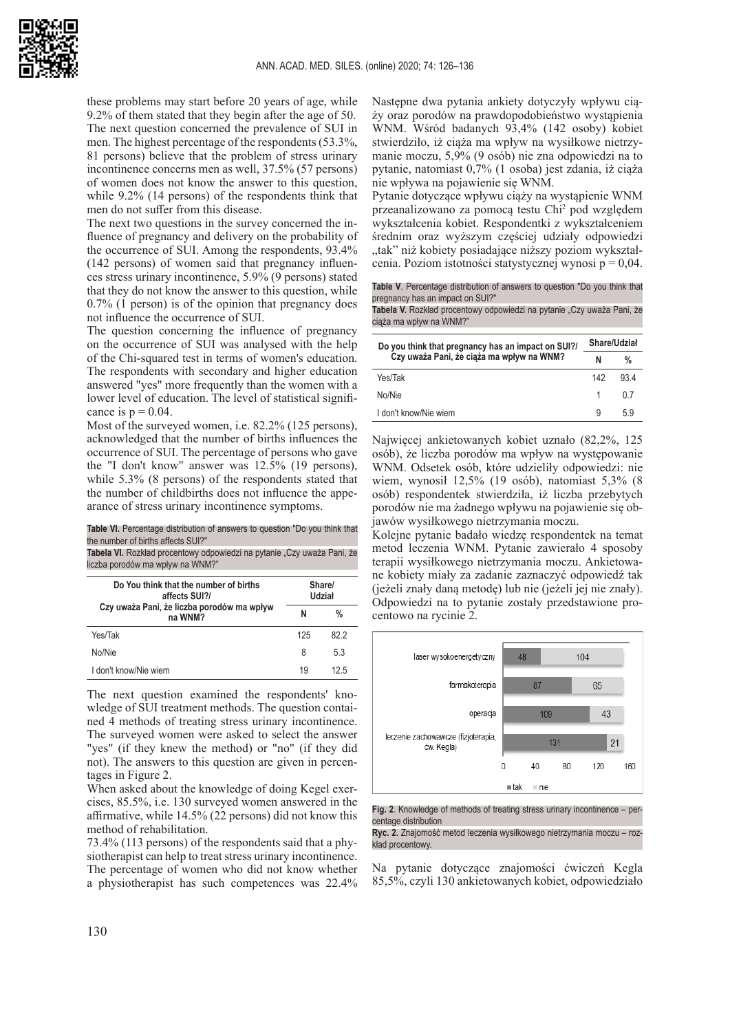these problems may start before 20 years of age, while 9.2% of them stated that they begin after the age of 50. The next question concerned the prevalence of SUI in men. The highest percentage of the respondents (53.3%, 81 persons) believe that the problem of stress urinary incontinence concerns men as well, 37.5% (57 persons) of women does not know the answer to this question, while 9.2% (14 persons) of the respondents think that men do not suffer from this disease.

The next two questions in the survey concerned the influence of pregnancy and delivery on the probability of the occurrence of SUI. Among the respondents, 93.4% (142 persons) of women said that pregnancy influences stress urinary incontinence, 5.9% (9 persons) stated that they do not know the answer to this question, while 0.7% (1 person) is of the opinion that pregnancy does not influence the occurrence of SUI.

The question concerning the influence of pregnancy on the occurrence of SUI was analysed with the help of the Chi-squared test in terms of women's education. The respondents with secondary and higher education answered "yes" more frequently than the women with a lower level of education. The level of statistical significance is  $p = 0.04$ .

Most of the surveyed women, i.e. 82.2% (125 persons), acknowledged that the number of births influences the occurrence of SUI. The percentage of persons who gave the "I don't know" answer was 12.5% (19 persons), while 5.3% (8 persons) of the respondents stated that the number of childbirths does not influence the appearance of stress urinary incontinence symptoms.

**Table VI.** Percentage distribution of answers to question "Do you think that the number of births affects SUI?"

Tabela VI. Rozkład procentowy odpowiedzi na pytanie "Czy uważa Pani, że liczba porodów ma wpływ na WNM?"

| Do You think that the number of births<br>affects SUI?/<br>Czy uważa Pani, że liczba porodów ma wpływ<br>na WNM? |     | Share/<br>Udział |  |
|------------------------------------------------------------------------------------------------------------------|-----|------------------|--|
|                                                                                                                  |     | %                |  |
| Yes/Tak                                                                                                          | 125 | 82 2             |  |
| No/Nie                                                                                                           | 8   | 53               |  |
| I don't know/Nie wiem                                                                                            | 19  | 12.5             |  |

The next question examined the respondents' knowledge of SUI treatment methods. The question contained 4 methods of treating stress urinary incontinence. The surveyed women were asked to select the answer "yes" (if they knew the method) or "no" (if they did not). The answers to this question are given in percentages in Figure 2.

When asked about the knowledge of doing Kegel exercises, 85.5%, i.e. 130 surveyed women answered in the affirmative, while 14.5% (22 persons) did not know this method of rehabilitation.

73.4% (113 persons) of the respondents said that a physiotherapist can help to treat stress urinary incontinence. The percentage of women who did not know whether a physiotherapist has such competences was 22.4%

Następne dwa pytania ankiety dotyczyły wpływu ciąży oraz porodów na prawdopodobieństwo wystąpienia WNM. Wśród badanych 93,4% (142 osoby) kobiet stwierdziło, iż ciąża ma wpływ na wysiłkowe nietrzymanie moczu, 5,9% (9 osób) nie zna odpowiedzi na to pytanie, natomiast 0,7% (1 osoba) jest zdania, iż ciąża nie wpływa na pojawienie się WNM.

Pytanie dotyczące wpływu ciąży na wystąpienie WNM przeanalizowano za pomocą testu Chi<sup>2</sup> pod względem wykształcenia kobiet. Respondentki z wykształceniem średnim oraz wyższym częściej udziały odpowiedzi "tak" niż kobiety posiadające niższy poziom wykształcenia. Poziom istotności statystycznej wynosi p = 0,04.

**Table V**. Percentage distribution of answers to question "Do you think that pregnancy has an impact on SUI?"

Tabela V. Rozkład procentowy odpowiedzi na pytanie "Czy uważa Pani, że ciąża ma wpływ na WNM?"

| Do you think that pregnancy has an impact on SUI?/<br>Czy uważa Pani, że ciąża ma wpływ na WNM? |     | Share/Udział |  |
|-------------------------------------------------------------------------------------------------|-----|--------------|--|
|                                                                                                 |     | %            |  |
| Yes/Tak                                                                                         | 142 | 934          |  |
| No/Nie                                                                                          | 1   | 0 7          |  |
| I don't know/Nie wiem                                                                           | g   | 59           |  |

Najwięcej ankietowanych kobiet uznało (82,2%, 125 osób), że liczba porodów ma wpływ na występowanie WNM. Odsetek osób, które udzieliły odpowiedzi: nie wiem, wynosił 12,5% (19 osób), natomiast 5,3% (8 osób) respondentek stwierdziła, iż liczba przebytych porodów nie ma żadnego wpływu na pojawienie się objawów wysiłkowego nietrzymania moczu.

Kolejne pytanie badało wiedzę respondentek na temat metod leczenia WNM. Pytanie zawierało 4 sposoby terapii wysiłkowego nietrzymania moczu. Ankietowane kobiety miały za zadanie zaznaczyć odpowiedź tak (jeżeli znały daną metodę) lub nie (jeżeli jej nie znały). Odpowiedzi na to pytanie zostały przedstawione procentowo na rycinie 2.



**Fig. 2**. Knowledge of methods of treating stress urinary incontinence – percentage distribution

**Ryc. 2.** Znajomość metod leczenia wysiłkowego nietrzymania moczu – rozkład procentowy.

Na pytanie dotyczące znajomości ćwiczeń Kegla 85,5%, czyli 130 ankietowanych kobiet, odpowiedziało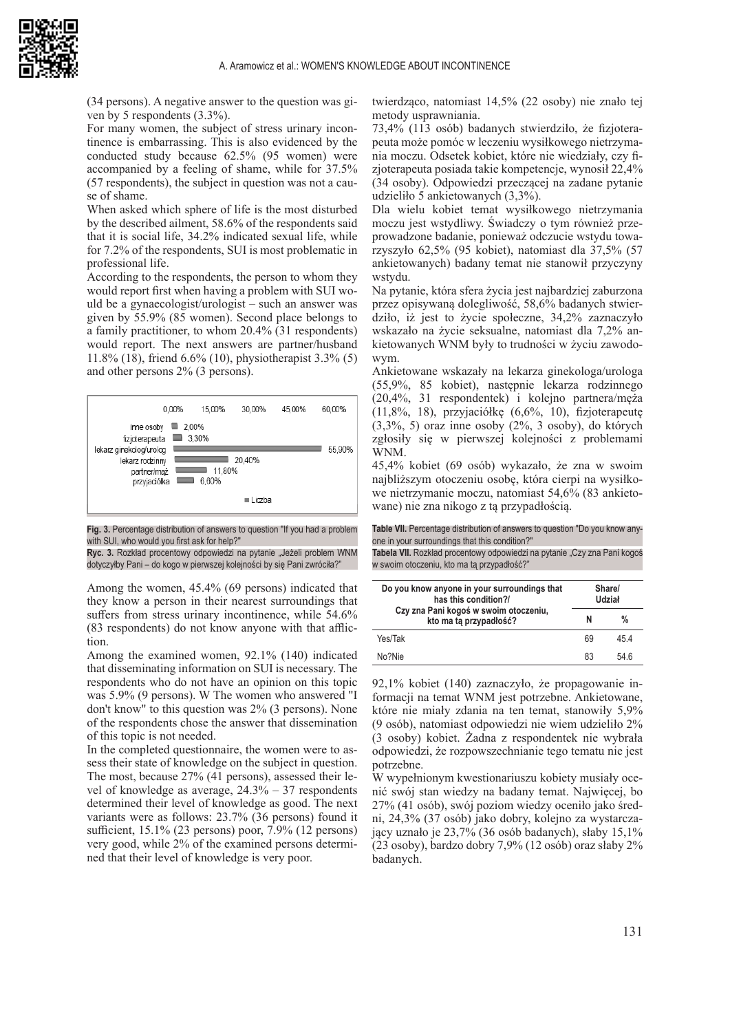(34 persons). A negative answer to the question was given by 5 respondents (3.3%).

For many women, the subject of stress urinary incontinence is embarrassing. This is also evidenced by the conducted study because 62.5% (95 women) were accompanied by a feeling of shame, while for 37.5% (57 respondents), the subject in question was not a cause of shame.

When asked which sphere of life is the most disturbed by the described ailment, 58.6% of the respondents said that it is social life, 34.2% indicated sexual life, while for 7.2% of the respondents, SUI is most problematic in professional life.

According to the respondents, the person to whom they would report first when having a problem with SUI would be a gynaecologist/urologist – such an answer was given by 55.9% (85 women). Second place belongs to a family practitioner, to whom 20.4% (31 respondents) would report. The next answers are partner/husband 11.8% (18), friend 6.6% (10), physiotherapist 3.3% (5) and other persons 2% (3 persons).



**Fig. 3.** Percentage distribution of answers to question "If you had a problem with SUI, who would you first ask for help?"

**Ryc. 3.** Rozkład procentowy odpowiedzi na pytanie "Jeżeli problem WNM dotyczyłby Pani – do kogo w pierwszej kolejności by się Pani zwróciła?"

Among the women, 45.4% (69 persons) indicated that they know a person in their nearest surroundings that suffers from stress urinary incontinence, while 54.6% (83 respondents) do not know anyone with that affliction.

Among the examined women, 92.1% (140) indicated that disseminating information on SUI is necessary. The respondents who do not have an opinion on this topic was 5.9% (9 persons). W The women who answered "I don't know" to this question was 2% (3 persons). None of the respondents chose the answer that dissemination of this topic is not needed.

In the completed questionnaire, the women were to assess their state of knowledge on the subject in question. The most, because 27% (41 persons), assessed their level of knowledge as average, 24.3% – 37 respondents determined their level of knowledge as good. The next variants were as follows: 23.7% (36 persons) found it sufficient, 15.1% (23 persons) poor, 7.9% (12 persons) very good, while 2% of the examined persons determined that their level of knowledge is very poor.

twierdząco, natomiast 14,5% (22 osoby) nie znało tej metody usprawniania.

73,4% (113 osób) badanych stwierdziło, że fizjoterapeuta może pomóc w leczeniu wysiłkowego nietrzymania moczu. Odsetek kobiet, które nie wiedziały, czy fizjoterapeuta posiada takie kompetencje, wynosił 22,4% (34 osoby). Odpowiedzi przeczącej na zadane pytanie udzieliło 5 ankietowanych (3,3%).

Dla wielu kobiet temat wysiłkowego nietrzymania moczu jest wstydliwy. Świadczy o tym również przeprowadzone badanie, ponieważ odczucie wstydu towarzyszyło 62,5% (95 kobiet), natomiast dla 37,5% (57 ankietowanych) badany temat nie stanowił przyczyny wstydu.

Na pytanie, która sfera życia jest najbardziej zaburzona przez opisywaną dolegliwość, 58,6% badanych stwierdziło, iż jest to życie społeczne, 34,2% zaznaczyło wskazało na życie seksualne, natomiast dla 7,2% ankietowanych WNM były to trudności w życiu zawodowym.

Ankietowane wskazały na lekarza ginekologa/urologa (55,9%, 85 kobiet), następnie lekarza rodzinnego (20,4%, 31 respondentek) i kolejno partnera/męża (11,8%, 18), przyjaciółkę (6,6%, 10), fizjoterapeutę (3,3%, 5) oraz inne osoby (2%, 3 osoby), do których zgłosiły się w pierwszej kolejności z problemami WNM.

45,4% kobiet (69 osób) wykazało, że zna w swoim najbliższym otoczeniu osobę, która cierpi na wysiłkowe nietrzymanie moczu, natomiast 54,6% (83 ankietowane) nie zna nikogo z tą przypadłością.

**Table VII.** Percentage distribution of answers to question "Do you know anyone in your surroundings that this condition?"

Tabela VII. Rozkład procentowy odpowiedzi na pytanie "Czy zna Pani kogoś w swoim otoczeniu, kto ma tą przypadłość?"

| Do you know anyone in your surroundings that<br>has this condition?/ |    | Share/<br>Udział |  |
|----------------------------------------------------------------------|----|------------------|--|
| Czy zna Pani kogoś w swoim otoczeniu,<br>kto ma ta przypadłość?      | N  | $\%$             |  |
| Yes/Tak                                                              | 69 | 454              |  |
| No?Nie                                                               | 83 | 546              |  |

92,1% kobiet (140) zaznaczyło, że propagowanie informacji na temat WNM jest potrzebne. Ankietowane, które nie miały zdania na ten temat, stanowiły 5,9% (9 osób), natomiast odpowiedzi nie wiem udzieliło 2% (3 osoby) kobiet. Żadna z respondentek nie wybrała odpowiedzi, że rozpowszechnianie tego tematu nie jest potrzebne.

W wypełnionym kwestionariuszu kobiety musiały ocenić swój stan wiedzy na badany temat. Najwięcej, bo 27% (41 osób), swój poziom wiedzy oceniło jako średni, 24,3% (37 osób) jako dobry, kolejno za wystarczający uznało je 23,7% (36 osób badanych), słaby 15,1% (23 osoby), bardzo dobry 7,9% (12 osób) oraz słaby 2% badanych.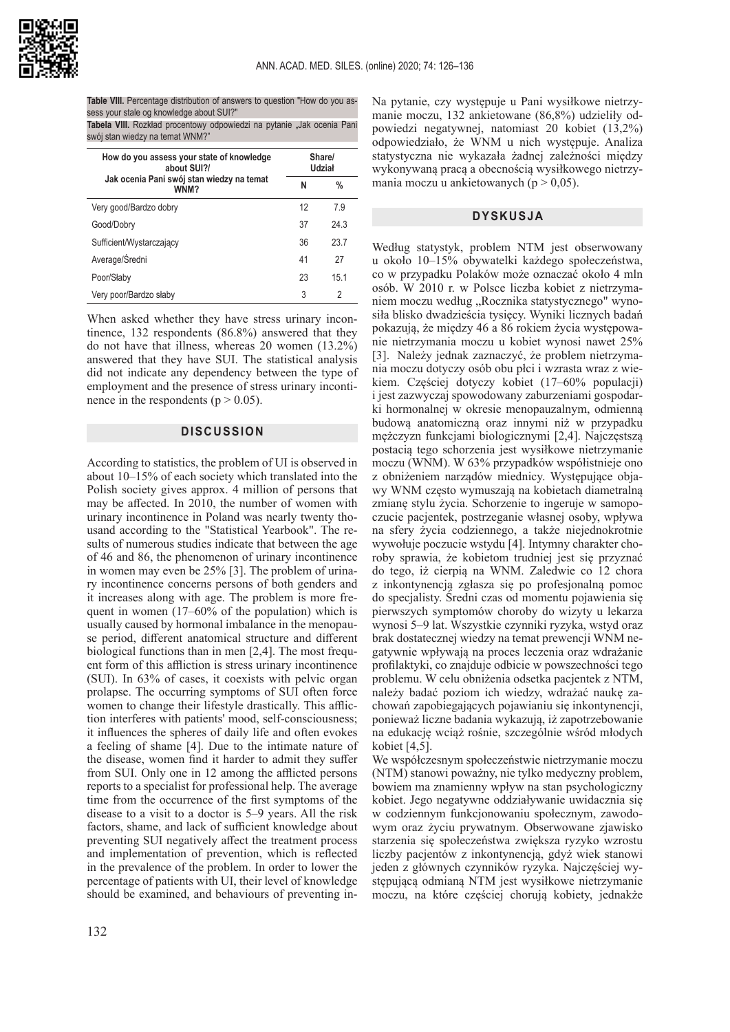

**Table VIII.** Percentage distribution of answers to question "How do you assess your stale og knowledge about SUI?"

**Tabela VIII.** Rozkład procentowy odpowiedzi na pytanie "Jak ocenia Pani swój stan wiedzy na temat WNM?"

| How do you assess your state of knowledge<br>about SUI?/ |    | Share/<br>Udział |  |
|----------------------------------------------------------|----|------------------|--|
| Jak ocenia Pani swój stan wiedzy na temat<br>WNM?        | N  | %                |  |
| Very good/Bardzo dobry                                   | 12 | 79               |  |
| Good/Dobry                                               | 37 | 243              |  |
| Sufficient/Wystarczający                                 | 36 | 237              |  |
| Average/Średni                                           | 41 | 27               |  |
| Poor/Słaby                                               | 23 | 151              |  |
| Very poor/Bardzo słaby                                   | 3  | 2                |  |

When asked whether they have stress urinary incontinence, 132 respondents (86.8%) answered that they do not have that illness, whereas 20 women (13.2%) answered that they have SUI. The statistical analysis did not indicate any dependency between the type of employment and the presence of stress urinary incontinence in the respondents ( $p > 0.05$ ).

## **DISCUSSION**

According to statistics, the problem of UI is observed in about 10–15% of each society which translated into the Polish society gives approx. 4 million of persons that may be affected. In 2010, the number of women with urinary incontinence in Poland was nearly twenty thousand according to the "Statistical Yearbook". The results of numerous studies indicate that between the age of 46 and 86, the phenomenon of urinary incontinence in women may even be 25% [3]. The problem of urinary incontinence concerns persons of both genders and it increases along with age. The problem is more frequent in women (17–60% of the population) which is usually caused by hormonal imbalance in the menopause period, different anatomical structure and different biological functions than in men [2,4]. The most frequent form of this affliction is stress urinary incontinence (SUI). In 63% of cases, it coexists with pelvic organ prolapse. The occurring symptoms of SUI often force women to change their lifestyle drastically. This affliction interferes with patients' mood, self-consciousness; it influences the spheres of daily life and often evokes a feeling of shame [4]. Due to the intimate nature of the disease, women find it harder to admit they suffer from SUI. Only one in 12 among the afflicted persons reports to a specialist for professional help. The average time from the occurrence of the first symptoms of the disease to a visit to a doctor is 5–9 years. All the risk factors, shame, and lack of sufficient knowledge about preventing SUI negatively affect the treatment process and implementation of prevention, which is reflected in the prevalence of the problem. In order to lower the percentage of patients with UI, their level of knowledge should be examined, and behaviours of preventing inNa pytanie, czy występuje u Pani wysiłkowe nietrzymanie moczu, 132 ankietowane (86,8%) udzieliły odpowiedzi negatywnej, natomiast 20 kobiet (13,2%) odpowiedziało, że WNM u nich występuje. Analiza statystyczna nie wykazała żadnej zależności między wykonywaną pracą a obecnością wysiłkowego nietrzymania moczu u ankietowanych ( $p > 0.05$ ).

#### **DYSKUSJA**

Według statystyk, problem NTM jest obserwowany u około 10–15% obywatelki każdego społeczeństwa, co w przypadku Polaków może oznaczać około 4 mln osób. W 2010 r. w Polsce liczba kobiet z nietrzymaniem moczu według "Rocznika statystycznego" wynosiła blisko dwadzieścia tysięcy. Wyniki licznych badań pokazują, że między 46 a 86 rokiem życia występowanie nietrzymania moczu u kobiet wynosi nawet 25% [3]. Należy jednak zaznaczyć, że problem nietrzymania moczu dotyczy osób obu płci i wzrasta wraz z wiekiem. Częściej dotyczy kobiet (17–60% populacji) i jest zazwyczaj spowodowany zaburzeniami gospodarki hormonalnej w okresie menopauzalnym, odmienną budową anatomiczną oraz innymi niż w przypadku mężczyzn funkcjami biologicznymi [2,4]. Najczęstszą postacią tego schorzenia jest wysiłkowe nietrzymanie moczu (WNM). W 63% przypadków współistnieje ono z obniżeniem narządów miednicy. Występujące objawy WNM często wymuszają na kobietach diametralną zmianę stylu życia. Schorzenie to ingeruje w samopoczucie pacjentek, postrzeganie własnej osoby, wpływa na sfery życia codziennego, a także niejednokrotnie wywołuje poczucie wstydu [4]. Intymny charakter choroby sprawia, że kobietom trudniej jest się przyznać do tego, iż cierpią na WNM. Zaledwie co 12 chora z inkontynencją zgłasza się po profesjonalną pomoc do specjalisty. Średni czas od momentu pojawienia się pierwszych symptomów choroby do wizyty u lekarza wynosi 5–9 lat. Wszystkie czynniki ryzyka, wstyd oraz brak dostatecznej wiedzy na temat prewencji WNM negatywnie wpływają na proces leczenia oraz wdrażanie profilaktyki, co znajduje odbicie w powszechności tego problemu. W celu obniżenia odsetka pacjentek z NTM, należy badać poziom ich wiedzy, wdrażać naukę zachowań zapobiegających pojawianiu się inkontynencji, ponieważ liczne badania wykazują, iż zapotrzebowanie na edukację wciąż rośnie, szczególnie wśród młodych kobiet [4,5].

We współczesnym społeczeństwie nietrzymanie moczu (NTM) stanowi poważny, nie tylko medyczny problem, bowiem ma znamienny wpływ na stan psychologiczny kobiet. Jego negatywne oddziaływanie uwidacznia się w codziennym funkcjonowaniu społecznym, zawodowym oraz życiu prywatnym. Obserwowane zjawisko starzenia się społeczeństwa zwiększa ryzyko wzrostu liczby pacjentów z inkontynencją, gdyż wiek stanowi jeden z głównych czynników ryzyka. Najczęściej występującą odmianą NTM jest wysiłkowe nietrzymanie moczu, na które częściej chorują kobiety, jednakże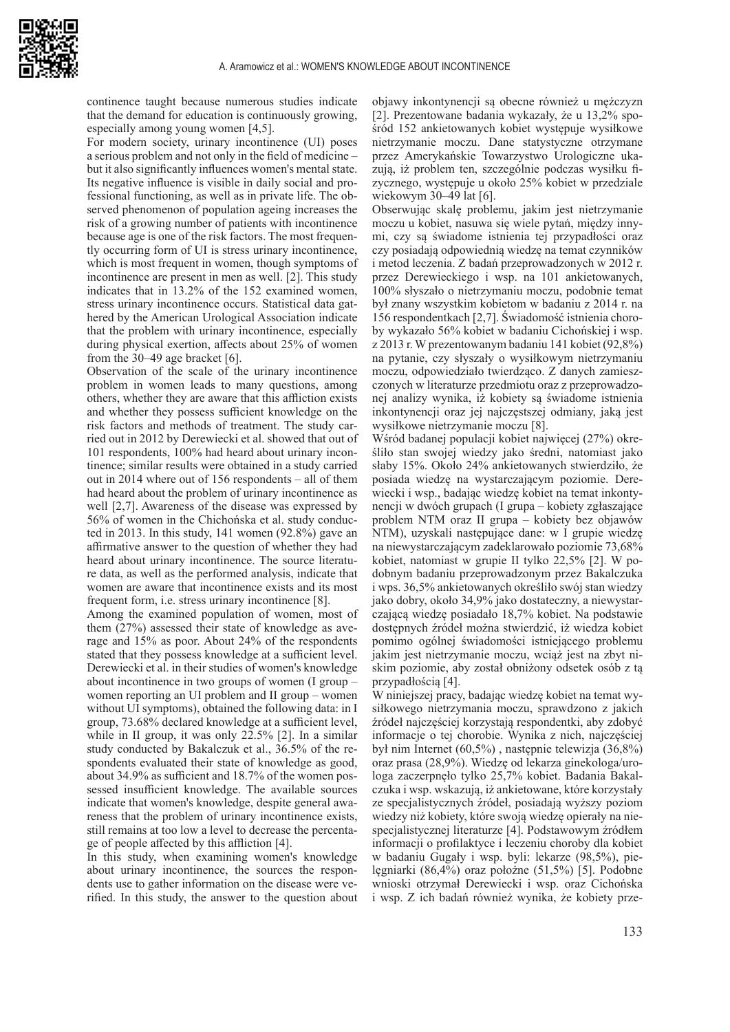

continence taught because numerous studies indicate that the demand for education is continuously growing, especially among young women [4,5].

For modern society, urinary incontinence (UI) poses a serious problem and not only in the field of medicine – but it also significantly influences women's mental state. Its negative influence is visible in daily social and professional functioning, as well as in private life. The observed phenomenon of population ageing increases the risk of a growing number of patients with incontinence because age is one of the risk factors. The most frequently occurring form of UI is stress urinary incontinence, which is most frequent in women, though symptoms of incontinence are present in men as well. [2]. This study indicates that in 13.2% of the 152 examined women, stress urinary incontinence occurs. Statistical data gathered by the American Urological Association indicate that the problem with urinary incontinence, especially during physical exertion, affects about 25% of women from the 30–49 age bracket [6].

Observation of the scale of the urinary incontinence problem in women leads to many questions, among others, whether they are aware that this affliction exists and whether they possess sufficient knowledge on the risk factors and methods of treatment. The study carried out in 2012 by Derewiecki et al. showed that out of 101 respondents, 100% had heard about urinary incontinence; similar results were obtained in a study carried out in 2014 where out of 156 respondents – all of them had heard about the problem of urinary incontinence as well [2,7]. Awareness of the disease was expressed by 56% of women in the Chichońska et al. study conducted in 2013. In this study, 141 women (92.8%) gave an affirmative answer to the question of whether they had heard about urinary incontinence. The source literature data, as well as the performed analysis, indicate that women are aware that incontinence exists and its most frequent form, i.e. stress urinary incontinence [8].

Among the examined population of women, most of them (27%) assessed their state of knowledge as average and 15% as poor. About 24% of the respondents stated that they possess knowledge at a sufficient level. Derewiecki et al. in their studies of women's knowledge about incontinence in two groups of women (I group – women reporting an UI problem and II group – women without UI symptoms), obtained the following data: in I group, 73.68% declared knowledge at a sufficient level, while in II group, it was only 22.5% [2]. In a similar study conducted by Bakalczuk et al., 36.5% of the respondents evaluated their state of knowledge as good, about 34.9% as sufficient and 18.7% of the women possessed insufficient knowledge. The available sources indicate that women's knowledge, despite general awareness that the problem of urinary incontinence exists, still remains at too low a level to decrease the percentage of people affected by this affliction [4].

In this study, when examining women's knowledge about urinary incontinence, the sources the respondents use to gather information on the disease were verified. In this study, the answer to the question about

objawy inkontynencji są obecne również u mężczyzn [2]. Prezentowane badania wykazały, że u 13,2% spośród 152 ankietowanych kobiet występuje wysiłkowe nietrzymanie moczu. Dane statystyczne otrzymane przez Amerykańskie Towarzystwo Urologiczne ukazują, iż problem ten, szczególnie podczas wysiłku fizycznego, występuje u około 25% kobiet w przedziale wiekowym 30–49 lat [6].

Obserwując skalę problemu, jakim jest nietrzymanie moczu u kobiet, nasuwa się wiele pytań, między innymi, czy są świadome istnienia tej przypadłości oraz czy posiadają odpowiednią wiedzę na temat czynników i metod leczenia. Z badań przeprowadzonych w 2012 r. przez Derewieckiego i wsp. na 101 ankietowanych, 100% słyszało o nietrzymaniu moczu, podobnie temat był znany wszystkim kobietom w badaniu z 2014 r. na 156 respondentkach [2,7]. Świadomość istnienia choroby wykazało 56% kobiet w badaniu Cichońskiej i wsp. z 2013 r. W prezentowanym badaniu 141 kobiet (92,8%) na pytanie, czy słyszały o wysiłkowym nietrzymaniu moczu, odpowiedziało twierdząco. Z danych zamieszczonych w literaturze przedmiotu oraz z przeprowadzonej analizy wynika, iż kobiety są świadome istnienia inkontynencji oraz jej najczęstszej odmiany, jaką jest wysiłkowe nietrzymanie moczu [8].

Wśród badanej populacji kobiet najwięcej (27%) określiło stan swojej wiedzy jako średni, natomiast jako słaby 15%. Około 24% ankietowanych stwierdziło, że posiada wiedzę na wystarczającym poziomie. Derewiecki i wsp., badając wiedzę kobiet na temat inkontynencji w dwóch grupach (I grupa – kobiety zgłaszające problem NTM oraz II grupa – kobiety bez objawów NTM), uzyskali następujące dane: w I grupie wiedzę na niewystarczającym zadeklarowało poziomie 73,68% kobiet, natomiast w grupie II tylko 22,5% [2]. W podobnym badaniu przeprowadzonym przez Bakalczuka i wps. 36,5% ankietowanych określiło swój stan wiedzy jako dobry, około 34,9% jako dostateczny, a niewystarczającą wiedzę posiadało 18,7% kobiet. Na podstawie dostępnych źródeł można stwierdzić, iż wiedza kobiet pomimo ogólnej świadomości istniejącego problemu jakim jest nietrzymanie moczu, wciąż jest na zbyt niskim poziomie, aby został obniżony odsetek osób z tą przypadłością [4].

W niniejszej pracy, badając wiedzę kobiet na temat wysiłkowego nietrzymania moczu, sprawdzono z jakich źródeł najczęściej korzystają respondentki, aby zdobyć informacje o tej chorobie. Wynika z nich, najczęściej był nim Internet (60,5%) , następnie telewizja (36,8%) oraz prasa (28,9%). Wiedzę od lekarza ginekologa/urologa zaczerpnęło tylko 25,7% kobiet. Badania Bakalczuka i wsp. wskazują, iż ankietowane, które korzystały ze specjalistycznych źródeł, posiadają wyższy poziom wiedzy niż kobiety, które swoją wiedzę opierały na niespecjalistycznej literaturze [4]. Podstawowym źródłem informacji o profilaktyce i leczeniu choroby dla kobiet w badaniu Gugały i wsp. byli: lekarze (98,5%), pielęgniarki (86,4%) oraz położne (51,5%) [5]. Podobne wnioski otrzymał Derewiecki i wsp. oraz Cichońska i wsp. Z ich badań również wynika, że kobiety prze-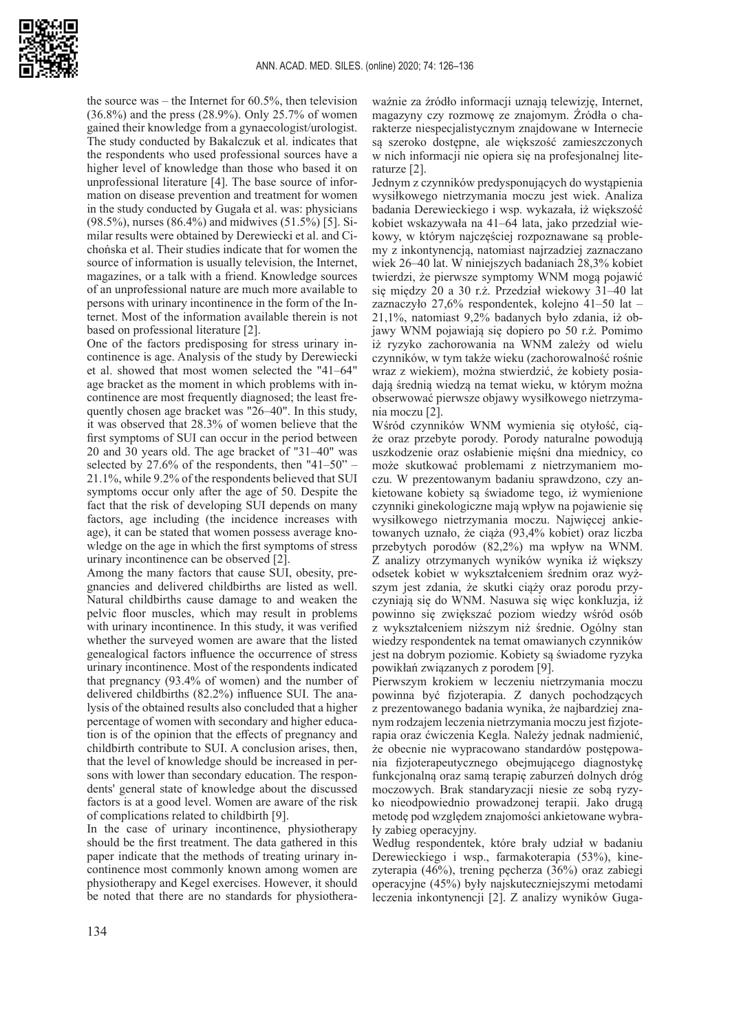

the source was – the Internet for 60.5%, then television (36.8%) and the press (28.9%). Only 25.7% of women gained their knowledge from a gynaecologist/urologist. The study conducted by Bakalczuk et al. indicates that the respondents who used professional sources have a higher level of knowledge than those who based it on unprofessional literature [4]. The base source of information on disease prevention and treatment for women in the study conducted by Gugała et al. was: physicians (98.5%), nurses (86.4%) and midwives (51.5%) [5]. Similar results were obtained by Derewiecki et al. and Cichońska et al. Their studies indicate that for women the source of information is usually television, the Internet, magazines, or a talk with a friend. Knowledge sources of an unprofessional nature are much more available to persons with urinary incontinence in the form of the Internet. Most of the information available therein is not based on professional literature [2].

One of the factors predisposing for stress urinary incontinence is age. Analysis of the study by Derewiecki et al. showed that most women selected the "41–64" age bracket as the moment in which problems with incontinence are most frequently diagnosed; the least frequently chosen age bracket was "26–40". In this study, it was observed that 28.3% of women believe that the first symptoms of SUI can occur in the period between 20 and 30 years old. The age bracket of "31–40" was selected by  $27.6\%$  of the respondents, then "41–50" – 21.1%, while 9.2% of the respondents believed that SUI symptoms occur only after the age of 50. Despite the fact that the risk of developing SUI depends on many factors, age including (the incidence increases with age), it can be stated that women possess average knowledge on the age in which the first symptoms of stress urinary incontinence can be observed [2].

Among the many factors that cause SUI, obesity, pregnancies and delivered childbirths are listed as well. Natural childbirths cause damage to and weaken the pelvic floor muscles, which may result in problems with urinary incontinence. In this study, it was verified whether the surveyed women are aware that the listed genealogical factors influence the occurrence of stress urinary incontinence. Most of the respondents indicated that pregnancy (93.4% of women) and the number of delivered childbirths (82.2%) influence SUI. The analysis of the obtained results also concluded that a higher percentage of women with secondary and higher education is of the opinion that the effects of pregnancy and childbirth contribute to SUI. A conclusion arises, then, that the level of knowledge should be increased in persons with lower than secondary education. The respondents' general state of knowledge about the discussed factors is at a good level. Women are aware of the risk of complications related to childbirth [9].

In the case of urinary incontinence, physiotherapy should be the first treatment. The data gathered in this paper indicate that the methods of treating urinary incontinence most commonly known among women are physiotherapy and Kegel exercises. However, it should be noted that there are no standards for physiothera-

ważnie za źródło informacji uznają telewizję, Internet, magazyny czy rozmowę ze znajomym. Źródła o charakterze niespecjalistycznym znajdowane w Internecie są szeroko dostępne, ale większość zamieszczonych w nich informacji nie opiera się na profesjonalnej literaturze [2].

Jednym z czynników predysponujących do wystąpienia wysiłkowego nietrzymania moczu jest wiek. Analiza badania Derewieckiego i wsp. wykazała, iż większość kobiet wskazywała na 41–64 lata, jako przedział wiekowy, w którym najczęściej rozpoznawane są problemy z inkontynencją, natomiast najrzadziej zaznaczano wiek 26–40 lat. W niniejszych badaniach 28,3% kobiet twierdzi, że pierwsze symptomy WNM mogą pojawić się między 20 a 30 r.ż. Przedział wiekowy 31–40 lat zaznaczyło 27,6% respondentek, kolejno 41–50 lat – 21,1%, natomiast 9,2% badanych było zdania, iż objawy WNM pojawiają się dopiero po 50 r.ż. Pomimo iż ryzyko zachorowania na WNM zależy od wielu czynników, w tym także wieku (zachorowalność rośnie wraz z wiekiem), można stwierdzić, że kobiety posiadają średnią wiedzą na temat wieku, w którym można obserwować pierwsze objawy wysiłkowego nietrzymania moczu [2].

Wśród czynników WNM wymienia się otyłość, ciąże oraz przebyte porody. Porody naturalne powodują uszkodzenie oraz osłabienie mięśni dna miednicy, co może skutkować problemami z nietrzymaniem moczu. W prezentowanym badaniu sprawdzono, czy ankietowane kobiety są świadome tego, iż wymienione czynniki ginekologiczne mają wpływ na pojawienie się wysiłkowego nietrzymania moczu. Najwięcej ankietowanych uznało, że ciąża (93,4% kobiet) oraz liczba przebytych porodów (82,2%) ma wpływ na WNM. Z analizy otrzymanych wyników wynika iż większy odsetek kobiet w wykształceniem średnim oraz wyższym jest zdania, że skutki ciąży oraz porodu przyczyniają się do WNM. Nasuwa się więc konkluzja, iż powinno się zwiększać poziom wiedzy wśród osób z wykształceniem niższym niż średnie. Ogólny stan wiedzy respondentek na temat omawianych czynników jest na dobrym poziomie. Kobiety są świadome ryzyka powikłań związanych z porodem [9].

Pierwszym krokiem w leczeniu nietrzymania moczu powinna być fizjoterapia. Z danych pochodzących z prezentowanego badania wynika, że najbardziej znanym rodzajem leczenia nietrzymania moczu jest fizjoterapia oraz ćwiczenia Kegla. Należy jednak nadmienić, że obecnie nie wypracowano standardów postępowania fizjoterapeutycznego obejmującego diagnostykę funkcjonalną oraz samą terapię zaburzeń dolnych dróg moczowych. Brak standaryzacji niesie ze sobą ryzyko nieodpowiednio prowadzonej terapii. Jako drugą metodę pod względem znajomości ankietowane wybrały zabieg operacyjny.

Według respondentek, które brały udział w badaniu Derewieckiego i wsp., farmakoterapia (53%), kinezyterapia (46%), trening pęcherza (36%) oraz zabiegi operacyjne (45%) były najskuteczniejszymi metodami leczenia inkontynencji [2]. Z analizy wyników Guga-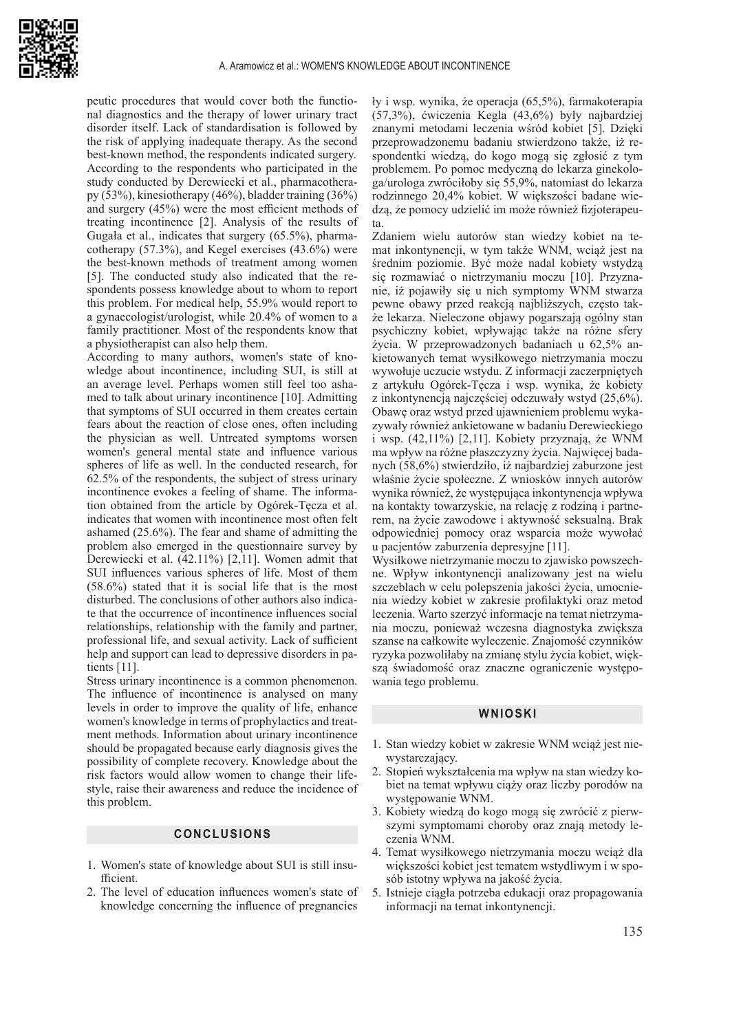

peutic procedures that would cover both the functional diagnostics and the therapy of lower urinary tract disorder itself. Lack of standardisation is followed by the risk of applying inadequate therapy. As the second best-known method, the respondents indicated surgery. According to the respondents who participated in the study conducted by Derewiecki et al., pharmacotherapy (53%), kinesiotherapy (46%), bladder training (36%) and surgery (45%) were the most efficient methods of treating incontinence [2]. Analysis of the results of Gugała et al., indicates that surgery (65.5%), pharmacotherapy (57.3%), and Kegel exercises (43.6%) were the best-known methods of treatment among women [5]. The conducted study also indicated that the respondents possess knowledge about to whom to report this problem. For medical help, 55.9% would report to a gynaecologist/urologist, while 20.4% of women to a family practitioner. Most of the respondents know that a physiotherapist can also help them.

According to many authors, women's state of knowledge about incontinence, including SUI, is still at an average level. Perhaps women still feel too ashamed to talk about urinary incontinence [10]. Admitting that symptoms of SUI occurred in them creates certain fears about the reaction of close ones, often including the physician as well. Untreated symptoms worsen women's general mental state and influence various spheres of life as well. In the conducted research, for 62.5% of the respondents, the subject of stress urinary incontinence evokes a feeling of shame. The information obtained from the article by Ogórek-Tęcza et al. indicates that women with incontinence most often felt ashamed (25.6%). The fear and shame of admitting the problem also emerged in the questionnaire survey by Derewiecki et al. (42.11%) [2,11]. Women admit that SUI influences various spheres of life. Most of them (58.6%) stated that it is social life that is the most disturbed. The conclusions of other authors also indicate that the occurrence of incontinence influences social relationships, relationship with the family and partner, professional life, and sexual activity. Lack of sufficient help and support can lead to depressive disorders in patients [11].

Stress urinary incontinence is a common phenomenon. The influence of incontinence is analysed on many levels in order to improve the quality of life, enhance women's knowledge in terms of prophylactics and treatment methods. Information about urinary incontinence should be propagated because early diagnosis gives the possibility of complete recovery. Knowledge about the risk factors would allow women to change their lifestyle, raise their awareness and reduce the incidence of this problem.

## **CONCLUSIONS**

- 1. Women's state of knowledge about SUI is still insufficient.
- 2. The level of education influences women's state of knowledge concerning the influence of pregnancies

ły i wsp. wynika, że operacja (65,5%), farmakoterapia (57,3%), ćwiczenia Kegla (43,6%) były najbardziej znanymi metodami leczenia wśród kobiet [5]. Dzięki przeprowadzonemu badaniu stwierdzono także, iż respondentki wiedzą, do kogo mogą się zgłosić z tym problemem. Po pomoc medyczną do lekarza ginekologa/urologa zwróciłoby się 55,9%, natomiast do lekarza rodzinnego 20,4% kobiet. W większości badane wiedzą, że pomocy udzielić im może również fizjoterapeuta.

Zdaniem wielu autorów stan wiedzy kobiet na temat inkontynencji, w tym także WNM, wciąż jest na średnim poziomie. Być może nadal kobiety wstydzą się rozmawiać o nietrzymaniu moczu [10]. Przyznanie, iż pojawiły się u nich symptomy WNM stwarza pewne obawy przed reakcją najbliższych, często także lekarza. Nieleczone objawy pogarszają ogólny stan psychiczny kobiet, wpływając także na różne sfery życia. W przeprowadzonych badaniach u 62,5% ankietowanych temat wysiłkowego nietrzymania moczu wywołuje uczucie wstydu. Z informacji zaczerpniętych z artykułu Ogórek-Tęcza i wsp. wynika, że kobiety z inkontynencją najczęściej odczuwały wstyd (25,6%). Obawę oraz wstyd przed ujawnieniem problemu wykazywały również ankietowane w badaniu Derewieckiego i wsp. (42,11%) [2,11]. Kobiety przyznają, że WNM ma wpływ na różne płaszczyzny życia. Najwięcej badanych (58,6%) stwierdziło, iż najbardziej zaburzone jest właśnie życie społeczne. Z wniosków innych autorów wynika również, że występująca inkontynencja wpływa na kontakty towarzyskie, na relację z rodziną i partnerem, na życie zawodowe i aktywność seksualną. Brak odpowiedniej pomocy oraz wsparcia może wywołać u pacjentów zaburzenia depresyjne [11].

Wysiłkowe nietrzymanie moczu to zjawisko powszechne. Wpływ inkontynencji analizowany jest na wielu szczeblach w celu polepszenia jakości życia, umocnienia wiedzy kobiet w zakresie profilaktyki oraz metod leczenia. Warto szerzyć informacje na temat nietrzymania moczu, ponieważ wczesna diagnostyka zwiększa szanse na całkowite wyleczenie. Znajomość czynników ryzyka pozwoliłaby na zmianę stylu życia kobiet, większą świadomość oraz znaczne ograniczenie występowania tego problemu.

#### **WNIOSKI**

- 1. Stan wiedzy kobiet w zakresie WNM wciąż jest niewystarczający.
- 2. Stopień wykształcenia ma wpływ na stan wiedzy kobiet na temat wpływu ciąży oraz liczby porodów na występowanie WNM.
- 3. Kobiety wiedzą do kogo mogą się zwrócić z pierwszymi symptomami choroby oraz znają metody leczenia WNM.
- 4. Temat wysiłkowego nietrzymania moczu wciąż dla większości kobiet jest tematem wstydliwym i w sposób istotny wpływa na jakość życia.
- 5. Istnieje ciągła potrzeba edukacji oraz propagowania informacji na temat inkontynencji.